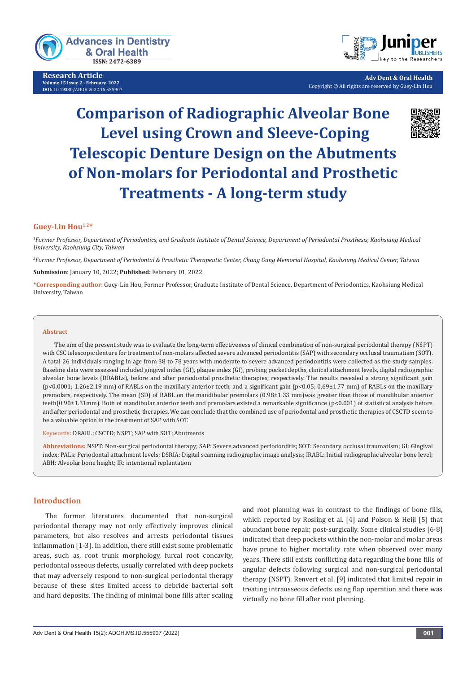

**Research Article Volume 15 Issue 2 - February 2022 DOI:** [10.19080/ADOH.2022.15.555](http://dx.doi.org/10.19080/ADOH.2022.15.555907)907



**Adv Dent & Oral Health** Copyright © All rights are reserved by Guey-Lin Hou

# **Comparison of Radiographic Alveolar Bone Level using Crown and Sleeve-Coping Telescopic Denture Design on the Abutments of Non-molars for Periodontal and Prosthetic Treatments - A long-term study**



## **Guey-Lin Hou1,2\***

*1 Former Professor, Department of Periodontics, and Graduate Institute of Dental Science, Department of Periodontal Prosthesis, Kaohsiung Medical University, Kaohsiung City, Taiwan*

*2 Former Professor, Department of Periodontal & Prosthetic Therapeutic Center, Chang Gung Memorial Hospital, Kaohsiung Medical Center, Taiwan*

**Submission**: January 10, 2022; **Published:** February 01, 2022

**\*Corresponding author:** Guey-Lin Hou, Former Professor, Graduate Institute of Dental Science, Department of Periodontics, Kaohsiung Medical University, Taiwan

#### **Abstract**

The aim of the present study was to evaluate the long-term effectiveness of clinical combination of non-surgical periodontal therapy (NSPT) with CSC telescopic denture for treatment of non-molars affected severe advanced periodontitis (SAP) with secondary occlusal traumatism (SOT). A total 26 individuals ranging in age from 38 to 78 years with moderate to severe advanced periodontitis were collected as the study samples. Baseline data were assessed included gingival index (GI), plaque index (GI), probing pocket depths, clinical attachment levels, digital radiographic alveolar bone levels (DRABLs), before and after periodontal prosthetic therapies, respectively. The results revealed a strong significant gain (p<0.0001; 1.26±2.19 mm) of RABLs on the maxillary anterior teeth, and a significant gain (p<0.05; 0.69±1.77 mm) of RABLs on the maxillary premolars, respectively. The mean (SD) of RABL on the mandibular premolars (0.98±1.33 mm)was greater than those of mandibular anterior teeth(0.90±1.31mm). Both of mandibular anterior teeth and premolars existed a remarkable significance (p<0.001) of statistical analysis before and after periodontal and prosthetic therapies. We can conclude that the combined use of periodontal and prosthetic therapies of CSCTD seem to be a valuable option in the treatment of SAP with SOT.

Keywords: DRABL; CSCTD; NSPT; SAP with SOT; Abutments

**Abbreviations:** NSPT: Non-surgical periodontal therapy; SAP: Severe advanced periodontitis; SOT: Secondary occlusal traumatism; GI: Gingival index; PALs: Periodontal attachment levels; DSRIA: Digital scanning radiographic image analysis; IRABL: Initial radiographic alveolar bone level; ABH: Alveolar bone height; IR: intentional replantation

#### **Introduction**

The former literatures documented that non-surgical periodontal therapy may not only effectively improves clinical parameters, but also resolves and arrests periodontal tissues inflammation [1-3]. In addition, there still exist some problematic areas, such as, root trunk morphology, furcal root concavity, periodontal osseous defects, usually correlated with deep pockets that may adversely respond to non-surgical periodontal therapy because of these sites limited access to debride bacterial soft and hard deposits. The finding of minimal bone fills after scaling and root planning was in contrast to the findings of bone fills, which reported by Rosling et al. [4] and Polson & Heijl [5] that abundant bone repair, post-surgically. Some clinical studies [6-8] indicated that deep pockets within the non-molar and molar areas have prone to higher mortality rate when observed over many years. There still exists conflicting data regarding the bone fills of angular defects following surgical and non-surgical periodontal therapy (NSPT). Renvert et al. [9] indicated that limited repair in treating intraosseous defects using flap operation and there was virtually no bone fill after root planning.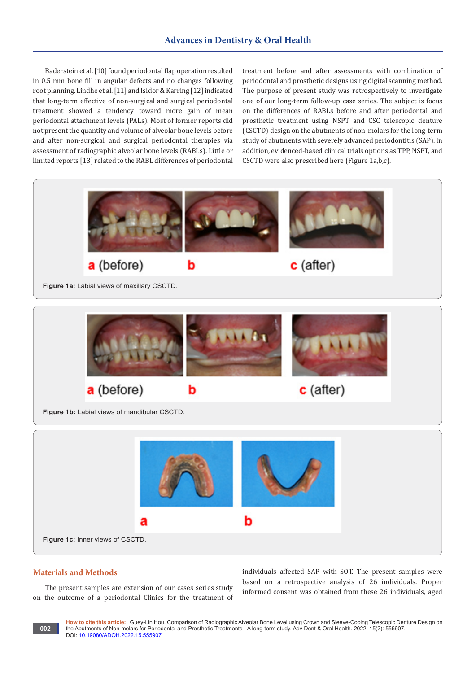Baderstein et al. [10] found periodontal flap operation resulted in 0.5 mm bone fill in angular defects and no changes following root planning. Lindhe et al. [11] and Isidor & Karring [12] indicated that long-term effective of non-surgical and surgical periodontal treatment showed a tendency toward more gain of mean periodontal attachment levels (PALs). Most of former reports did not present the quantity and volume of alveolar bone levels before and after non-surgical and surgical periodontal therapies via assessment of radiographic alveolar bone levels (RABLs). Little or limited reports [13] related to the RABL differences of periodontal

treatment before and after assessments with combination of periodontal and prosthetic designs using digital scanning method. The purpose of present study was retrospectively to investigate one of our long-term follow-up case series. The subject is focus on the differences of RABLs before and after periodontal and prosthetic treatment using NSPT and CSC telescopic denture (CSCTD) design on the abutments of non-molars for the long-term study of abutments with severely advanced periodontitis (SAP). In addition, evidenced-based clinical trials options as TPP, NSPT, and CSCTD were also prescribed here (Figure 1a,b,c).



## **Materials and Methods**

**002**

The present samples are extension of our cases series study on the outcome of a periodontal Clinics for the treatment of individuals affected SAP with SOT. The present samples were based on a retrospective analysis of 26 individuals. Proper informed consent was obtained from these 26 individuals, aged

**How to cite this article:** Guey-Lin Hou. Comparison of Radiographic Alveolar Bone Level using Crown and Sleeve-Coping Telescopic Denture Design on the Abutments of Non-molars for Periodontal and Prosthetic Treatments - A long-term study. Adv Dent & Oral Health. 2022; 15(2): 555907. DOI: [10.19080/ADOH.2022.15.5559](http://dx.doi.org/10.19080/ADOH.2022.15.555907)07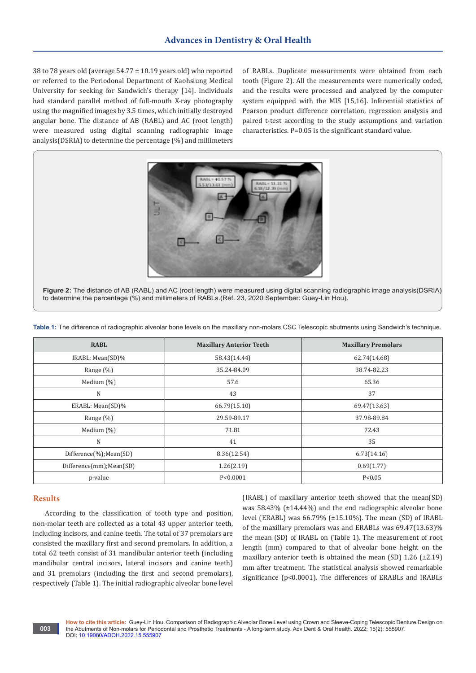38 to 78 years old (average 54.77 ± 10.19 years old) who reported or referred to the Periodonal Department of Kaohsiung Medical University for seeking for Sandwich's therapy [14]. Individuals had standard parallel method of full-mouth X-ray photography using the magnified images by 3.5 times, which initially destroyed angular bone. The distance of AB (RABL) and AC (root length) were measured using digital scanning radiographic image analysis(DSRIA) to determine the percentage (%) and millimeters

of RABLs. Duplicate measurements were obtained from each tooth (Figure 2). All the measurements were numerically coded, and the results were processed and analyzed by the computer system equipped with the MIS [15,16]. Inferential statistics of Pearson product difference correlation, regression analysis and paired t-test according to the study assumptions and variation characteristics. P=0.05 is the significant standard value.



**Figure 2:** The distance of AB (RABL) and AC (root length) were measured using digital scanning radiographic image analysis(DSRIA) to determine the percentage (%) and millimeters of RABLs.(Ref. 23, 2020 September: Guey-Lin Hou).

**Table 1:** The difference of radiographic alveolar bone levels on the maxillary non-molars CSC Telescopic abutments using Sandwich's technique.

| <b>RABL</b>              | <b>Maxillary Anterior Teeth</b> | <b>Maxillary Premolars</b> |
|--------------------------|---------------------------------|----------------------------|
| IRABL: Mean(SD)%         | 58.43(14.44)                    | 62.74(14.68)               |
| Range $(\%)$             | 35.24-84.09                     | 38.74-82.23                |
| Medium $(\%)$            | 57.6                            | 65.36                      |
| N                        | 43                              | 37                         |
| ERABL: Mean(SD)%         | 66.79(15.10)                    | 69.47(13.63)               |
| Range $(\%)$             | 29.59-89.17                     | 37.98-89.84                |
| Medium $(\%)$            | 71.81                           | 72.43                      |
| N                        | 41                              | 35                         |
| Difference(%);Mean(SD)   | 8.36(12.54)                     | 6.73(14.16)                |
| Difference(mm); Mean(SD) | 1.26(2.19)                      | 0.69(1.77)                 |
| p-value                  | P < 0.0001                      | P < 0.05                   |

## **Results**

According to the classification of tooth type and position, non-molar teeth are collected as a total 43 upper anterior teeth, including incisors, and canine teeth. The total of 37 premolars are consisted the maxillary first and second premolars. In addition, a total 62 teeth consist of 31 mandibular anterior teeth (including mandibular central incisors, lateral incisors and canine teeth) and 31 premolars (including the first and second premolars), respectively (Table 1). The initial radiographic alveolar bone level

(IRABL) of maxillary anterior teeth showed that the mean(SD) was 58.43% (±14.44%) and the end radiographic alveolar bone level (ERABL) was 66.79% (±15.10%). The mean (SD) of IRABL of the maxillary premolars was and ERABLs was 69.47(13.63)% the mean (SD) of IRABL on (Table 1). The measurement of root length (mm) compared to that of alveolar bone height on the maxillary anterior teeth is obtained the mean (SD)  $1.26$  ( $\pm 2.19$ ) mm after treatment. The statistical analysis showed remarkable significance (p<0.0001). The differences of ERABLs and IRABLs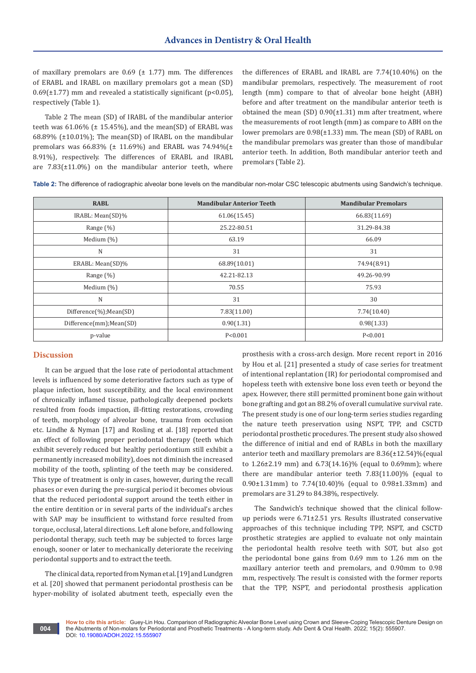of maxillary premolars are  $0.69$  ( $\pm$  1.77) mm. The differences of ERABL and IRABL on maxillary premolars got a mean (SD)  $0.69(\pm 1.77)$  mm and revealed a statistically significant (p<0.05), respectively (Table 1).

Table 2 The mean (SD) of IRABL of the mandibular anterior teeth was  $61.06\%$  ( $\pm$  15.45%), and the mean(SD) of ERABL was 68.89% (±10.01%); The mean(SD) of IRABL on the mandibular premolars was 66.83% ( $\pm$  11.69%) and ERABL was 74.94%( $\pm$ 8.91%), respectively. The differences of ERABL and IRABL are  $7.83(\pm 11.0\%)$  on the mandibular anterior teeth, where

the differences of ERABL and IRABL are 7.74(10.40%) on the mandibular premolars, respectively. The measurement of root length (mm) compare to that of alveolar bone height (ABH) before and after treatment on the mandibular anterior teeth is obtained the mean (SD) 0.90(±1.31) mm after treatment, where the measurements of root length (mm) as compare to ABH on the lower premolars are 0.98(±1.33) mm. The mean (SD) of RABL on the mandibular premolars was greater than those of mandibular anterior teeth. In addition, Both mandibular anterior teeth and premolars (Table 2).

**Table 2:** The difference of radiographic alveolar bone levels on the mandibular non-molar CSC telescopic abutments using Sandwich's technique.

| <b>RABL</b>             | <b>Mandibular Anterior Teeth</b> | <b>Mandibular Premolars</b> |
|-------------------------|----------------------------------|-----------------------------|
| IRABL: Mean(SD)%        | 61.06(15.45)                     | 66.83(11.69)                |
| Range $(\%)$            | 25.22-80.51                      | 31.29-84.38                 |
| Medium $(\%)$           | 63.19                            | 66.09                       |
| N                       | 31                               | 31                          |
| ERABL: Mean(SD)%        | 68.89(10.01)                     | 74.94(8.91)                 |
| Range $(\%)$            | 42.21-82.13                      | 49.26-90.99                 |
| Medium $(\%)$           | 70.55                            | 75.93                       |
| N                       | 31                               | 30                          |
| Difference(%);Mean(SD)  | 7.83(11.00)                      | 7.74(10.40)                 |
| Difference(mm);Mean(SD) | 0.90(1.31)                       | 0.98(1.33)                  |
| p-value                 | P < 0.001                        | P < 0.001                   |

#### **Discussion**

**004**

It can be argued that the lose rate of periodontal attachment levels is influenced by some deteriorative factors such as type of plaque infection, host susceptibility, and the local environment of chronically inflamed tissue, pathologically deepened pockets resulted from foods impaction, ill-fitting restorations, crowding of teeth, morphology of alveolar bone, trauma from occlusion etc. Lindhe & Nyman [17] and Rosling et al. [18] reported that an effect of following proper periodontal therapy (teeth which exhibit severely reduced but healthy periodontium still exhibit a permanently increased mobility), does not diminish the increased mobility of the tooth, splinting of the teeth may be considered. This type of treatment is only in cases, however, during the recall phases or even during the pre-surgical period it becomes obvious that the reduced periodontal support around the teeth either in the entire dentition or in several parts of the individual's arches with SAP may be insufficient to withstand force resulted from torque, occlusal, lateral directions. Left alone before, and following periodontal therapy, such teeth may be subjected to forces large enough, sooner or later to mechanically deteriorate the receiving periodontal supports and to extract the teeth.

The clinical data, reported from Nyman et al. [19] and Lundgren et al. [20] showed that permanent periodontal prosthesis can be hyper-mobility of isolated abutment teeth, especially even the

prosthesis with a cross-arch design. More recent report in 2016 by Hou et al. [21] presented a study of case series for treatment of intentional replantation (IR) for periodontal compromised and hopeless teeth with extensive bone loss even teeth or beyond the apex. However, there still permitted prominent bone gain without bone grafting and got an 88.2% of overall cumulative survival rate. The present study is one of our long-term series studies regarding the nature teeth preservation using NSPT, TPP, and CSCTD periodontal prosthetic procedures. The present study also showed the difference of initial and end of RABLs in both the maxillary anterior teeth and maxillary premolars are 8.36(±12.54)%(equal to 1.26±2.19 mm) and 6.73(14.16)% (equal to 0.69mm); where there are mandibular anterior teeth 7.83(11.00)% (equal to 0.90±1.31mm) to 7.74(10.40)% (equal to 0.98±1.33mm) and premolars are 31.29 to 84.38%, respectively.

The Sandwich's technique showed that the clinical followup periods were 6.71±2.51 yrs. Results illustrated conservative approaches of this technique including TPP, NSPT, and CSCTD prosthetic strategies are applied to evaluate not only maintain the periodontal health resolve teeth with SOT, but also got the periodontal bone gains from 0.69 mm to 1.26 mm on the maxillary anterior teeth and premolars, and 0.90mm to 0.98 mm, respectively. The result is consisted with the former reports that the TPP, NSPT, and periodontal prosthesis application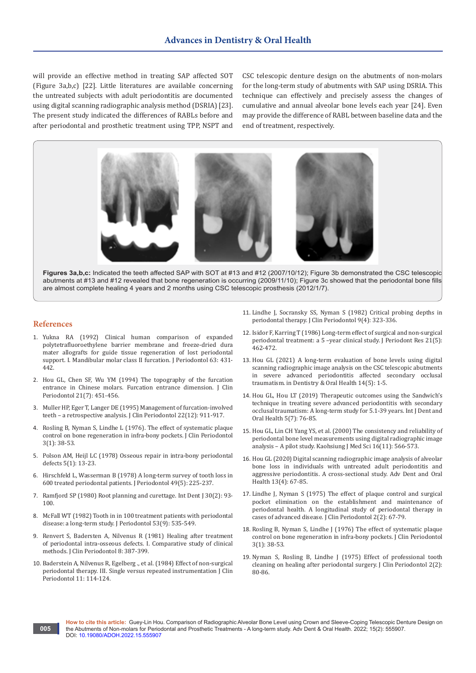will provide an effective method in treating SAP affected SOT (Figure 3a,b,c) [22]. Little literatures are available concerning the untreated subjects with adult periodontitis are documented using digital scanning radiographic analysis method (DSRIA) [23]. The present study indicated the differences of RABLs before and after periodontal and prosthetic treatment using TPP, NSPT and CSC telescopic denture design on the abutments of non-molars for the long-term study of abutments with SAP using DSRIA. This technique can effectively and precisely assess the changes of cumulative and annual alveolar bone levels each year [24]. Even may provide the difference of RABL between baseline data and the end of treatment, respectively.



**Figures 3a,b,c:** Indicated the teeth affected SAP with SOT at #13 and #12 (2007/10/12); Figure 3b demonstrated the CSC telescopic abutments at #13 and #12 revealed that bone regeneration is occurring (2009/11/10); Figure 3c showed that the periodontal bone fills are almost complete healing 4 years and 2 months using CSC telescopic prosthesis (2012/1/7).

#### **References**

**005**

- 1. [Yukna RA \(1992\) Clinical human comparison of expanded](https://pubmed.ncbi.nlm.nih.gov/1527687/)  [polytetrafluoroethylene barrier membrane and freeze-dried dura](https://pubmed.ncbi.nlm.nih.gov/1527687/)  [mater allografts for guide tissue regeneration of lost periodontal](https://pubmed.ncbi.nlm.nih.gov/1527687/)  [support. I. Mandibular molar class II furcation. J Periodontol 63: 431-](https://pubmed.ncbi.nlm.nih.gov/1527687/) [442.](https://pubmed.ncbi.nlm.nih.gov/1527687/)
- 2. [Hou GL, Chen SF, Wu YM \(1994\) The topography of the furcation](https://pubmed.ncbi.nlm.nih.gov/7929856/)  [entrance in Chinese molars. Furcation entrance dimension. J Clin](https://pubmed.ncbi.nlm.nih.gov/7929856/)  [Periodontol 21\(7\): 451-456.](https://pubmed.ncbi.nlm.nih.gov/7929856/)
- 3. [Muller HP, Eger T, Langer DE \(1995\) Management of furcation-involved](https://pubmed.ncbi.nlm.nih.gov/8613558/)  [teeth – a retrospective analysis. J Clin Periodontol 22\(12\): 911-917.](https://pubmed.ncbi.nlm.nih.gov/8613558/)
- 4. Rosling B, Nyman S, Lindhe L (1976). The effect of systematic plaque control on bone regeneration in infra-bony pockets. J Clin Periodontol 3(1): 38-53.
- 5. [Polson AM, Heijl LC \(1978\) Osseous repair in intra-bony periodontal](https://pubmed.ncbi.nlm.nih.gov/353083/)  [defects 5\(1\): 13-23.](https://pubmed.ncbi.nlm.nih.gov/353083/)
- 6. [Hirschfeld L, Wasserman B \(1978\) A long-term survey of tooth loss in](https://pubmed.ncbi.nlm.nih.gov/277674/)  [600 treated periodontal patients. J Periodontol 49\(5\): 225-237.](https://pubmed.ncbi.nlm.nih.gov/277674/)
- 7. [Ramfjord SP \(1980\) Root planning and curettage. Int Dent J 30\(2\): 93-](https://pubmed.ncbi.nlm.nih.gov/6997216/) [100.](https://pubmed.ncbi.nlm.nih.gov/6997216/)
- 8. [McFall WT \(1982\) Tooth in in 100 treatment patients with periodontal](https://pubmed.ncbi.nlm.nih.gov/6957591/)  [disease: a long-term study. J Periodontol 53\(9\): 535-549.](https://pubmed.ncbi.nlm.nih.gov/6957591/)
- 9. Renvert S, Badersten A, Nilvenus R (1981) Healing after treatment of periodontal intra-osseous defects. I. Comparative study of clinical methods. J Clin Periodontol 8: 387-399.
- 10. [Baderstein A, Nilvenus R, Egelberg ., et al. \(1984\) Effect of non-surgical](https://pubmed.ncbi.nlm.nih.gov/6583210/)  [periodontal therapy. III. Single versus repeated instrumentation J Clin](https://pubmed.ncbi.nlm.nih.gov/6583210/)  [Periodontol 11: 114-124.](https://pubmed.ncbi.nlm.nih.gov/6583210/)
- 11. [Lindhe J, Socransky SS, Nyman S \(1982\) Critical probing depths in](https://pubmed.ncbi.nlm.nih.gov/6764782/)  [periodontal therapy. J Clin Periodontol 9\(4\): 323-336.](https://pubmed.ncbi.nlm.nih.gov/6764782/)
- 12. [Isidor F, Karring T \(1986\) Long-term effect of surgical and non-surgical](https://pubmed.ncbi.nlm.nih.gov/2946847/)  [periodontal treatment: a 5 –year clinical study. J Periodont Res 21\(5\):](https://pubmed.ncbi.nlm.nih.gov/2946847/)  [462-472.](https://pubmed.ncbi.nlm.nih.gov/2946847/)
- 13. Hou GL (2021) A long-term evaluation of bone levels using digital scanning radiographic image analysis on the CSC telescopic abutments in severe advanced periodontitis affected secondary occlusal traumatism. in Dentistry & Oral Health 14(5): 1-5.
- 14. Hou GL, Hou LT (2019) Therapeutic outcomes using the Sandwich's technique in treating severe advanced periodontitis with secondary occlusal traumatism: A long-term study for 5.1-39 years. Int J Dent and Oral Health 5(7): 76-85.
- 15. [Hou GL, Lin CH Yang YS, et al. \(2000\) The consistency and reliability of](https://pubmed.ncbi.nlm.nih.gov/11294063/)  [periodontal bone level measurements using digital radiographic image](https://pubmed.ncbi.nlm.nih.gov/11294063/)  [analysis – A pilot study. Kaohsiung J Med Sci 16\(11\): 566-573.](https://pubmed.ncbi.nlm.nih.gov/11294063/)
- 16. [Hou GL \(2020\) Digital scanning radiographic image analysis of alveolar](https://juniperpublishers.com/adoh/ADOH.MS.ID.555870.php)  [bone loss in individuals with untreated adult periodontitis and](https://juniperpublishers.com/adoh/ADOH.MS.ID.555870.php)  [aggressive periodontitis. A cross-sectional study. Adv Dent and Oral](https://juniperpublishers.com/adoh/ADOH.MS.ID.555870.php)  [Health 13\(4\): 67-85.](https://juniperpublishers.com/adoh/ADOH.MS.ID.555870.php)
- 17. [Lindhe J, Nyman S \(1975\) The effect of plaque control and surgical](https://pubmed.ncbi.nlm.nih.gov/1055729/)  [pocket elimination on the establishment and maintenance of](https://pubmed.ncbi.nlm.nih.gov/1055729/)  [periodontal health. A longitudinal study of periodontal therapy in](https://pubmed.ncbi.nlm.nih.gov/1055729/)  [cases of advanced disease. J Clin Periodontol 2\(2\): 67-79.](https://pubmed.ncbi.nlm.nih.gov/1055729/)
- 18. [Rosling B, Nyman S, Lindhe J \(1976\) The effect of systematic plaque](https://pubmed.ncbi.nlm.nih.gov/767366/)  [control on bone regeneration in infra-bony pockets. J Clin Periodontol](https://pubmed.ncbi.nlm.nih.gov/767366/)  [3\(1\): 38-53.](https://pubmed.ncbi.nlm.nih.gov/767366/)
- 19. [Nyman S, Rosling B, Lindhe J \(1975\) Effect of professional tooth](https://pubmed.ncbi.nlm.nih.gov/1094035/)  [cleaning on healing after periodontal surgery. J Clin Periodontol 2\(2\):](https://pubmed.ncbi.nlm.nih.gov/1094035/)  [80-86.](https://pubmed.ncbi.nlm.nih.gov/1094035/)